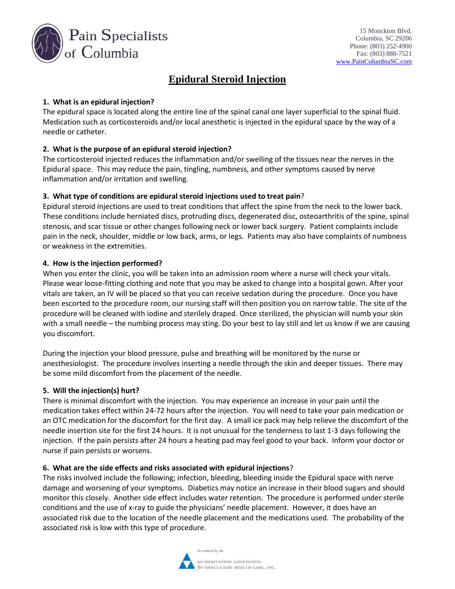

# **Epidural Steroid Injection**

# **1. What is an epidural injection?**

The epidural space is located along the entire line of the spinal canal one layer superficial to the spinal fluid. Medication such as corticosteroids and/or local anesthetic is injected in the epidural space by the way of a needle or catheter.

# **2. What is the purpose of an epidural steroid injection?**

The corticosteroid injected reduces the inflammation and/or swelling of the tissues near the nerves in the Epidural space. This may reduce the pain, tingling, numbness, and other symptoms caused by nerve inflammation and/or irritation and swelling.

#### **3. What type of conditions are epidural steroid injections used to treat pain**?

Epidural steroid injections are used to treat conditions that affect the spine from the neck to the lower back. These conditions include herniated discs, protruding discs, degenerated disc, osteoarthritis of the spine, spinal stenosis, and scar tissue or other changes following neck or lower back surgery. Patient complaints include pain in the neck, shoulder, middle or low back, arms, or legs. Patients may also have complaints of numbness or weakness in the extremities.

## **4. How is the injection performed?**

When you enter the clinic, you will be taken into an admission room where a nurse will check your vitals. Please wear loose-fitting clothing and note that you may be asked to change into a hospital gown. After your vitals are taken, an IV will be placed so that you can receive sedation during the procedure. Once you have been escorted to the procedure room, our nursing staff will then position you on narrow table. The site of the procedure will be cleaned with iodine and sterilely draped. Once sterilized, the physician will numb your skin with a small needle – the numbing process may sting. Do your best to lay still and let us know if we are causing you discomfort.

During the injection your blood pressure, pulse and breathing will be monitored by the nurse or anesthesiologist. The procedure involves inserting a needle through the skin and deeper tissues. There may be some mild discomfort from the placement of the needle.

#### **5. Will the injection(s) hurt?**

There is minimal discomfort with the injection. You may experience an increase in your pain until the medication takes effect within 24-72 hours after the injection. You will need to take your pain medication or an OTC medication for the discomfort for the first day. A small ice pack may help relieve the discomfort of the needle insertion site for the first 24 hours. It is not unusual for the tenderness to last 1-3 days following the injection. If the pain persists after 24 hours a heating pad may feel good to your back. Inform your doctor or nurse if pain persists or worsens.

#### **6. What are the side effects and risks associated with epidural injections**?

The risks involved include the following; infection, bleeding, bleeding inside the Epidural space with nerve damage and worsening of your symptoms. Diabetics may notice an increase in their blood sugars and should monitor this closely. Another side effect includes water retention. The procedure is performed under sterile conditions and the use of x-ray to guide the physicians' needle placement. However, it does have an associated risk due to the location of the needle placement and the medications used. The probability of the associated risk is low with this type of procedure.